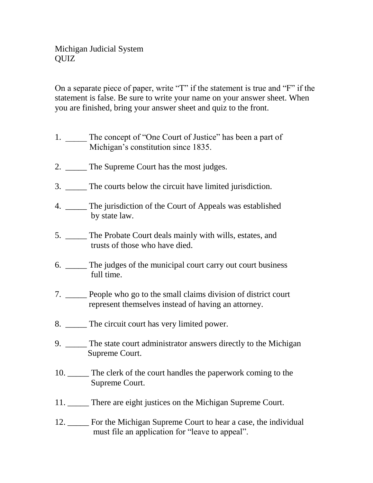On a separate piece of paper, write "T" if the statement is true and "F" if the statement is false. Be sure to write your name on your answer sheet. When you are finished, bring your answer sheet and quiz to the front.

- 1. \_\_\_\_\_ The concept of "One Court of Justice" has been a part of Michigan's constitution since 1835.
- 2. \_\_\_\_\_\_ The Supreme Court has the most judges.
- 3. \_\_\_\_\_ The courts below the circuit have limited jurisdiction.
- 4. \_\_\_\_\_ The jurisdiction of the Court of Appeals was established by state law.
- 5. \_\_\_\_\_ The Probate Court deals mainly with wills, estates, and trusts of those who have died.
- 6. \_\_\_\_\_ The judges of the municipal court carry out court business full time.
- 7. \_\_\_\_\_ People who go to the small claims division of district court represent themselves instead of having an attorney.
- 8. \_\_\_\_\_ The circuit court has very limited power.
- 9. \_\_\_\_\_ The state court administrator answers directly to the Michigan Supreme Court.
- 10. \_\_\_\_\_ The clerk of the court handles the paperwork coming to the Supreme Court.
- 11. There are eight justices on the Michigan Supreme Court.
- 12. \_\_\_\_\_ For the Michigan Supreme Court to hear a case, the individual must file an application for "leave to appeal".